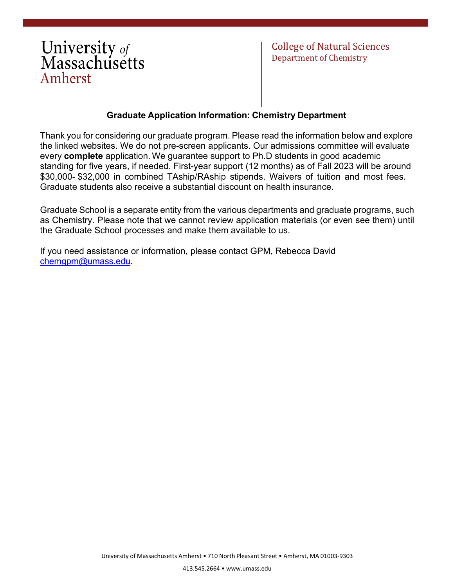

### **Graduate Application Information: Chemistry Department**

Thank you for considering our graduate program. Please read the information below and explore the linked websites. We do not pre-screen applicants. Our admissions committee will evaluate every **complete** application. We guarantee support to Ph.D students in good academic standing for five years, if needed. First-year support (12 months) as of Fall 2023 will be around \$30,000- \$32,000 in combined TAship/RAship stipends. Waivers of tuition and most fees. Graduate students also receive a substantial discount on health insurance.

Graduate School is a separate entity from the various departments and graduate programs, such as Chemistry. Please note that we cannot review application materials (or even see them) until the Graduate School processes and make them available to us.

If you need assistance or information, please contact GPM, Rebecca David [chemgpm@umass.edu.](mailto:rldavid@umass.edu)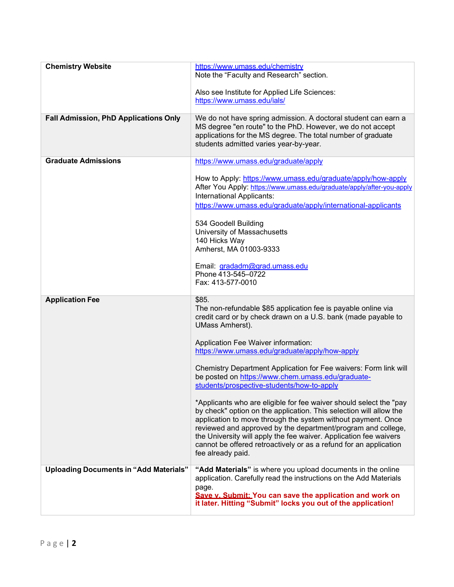| <b>Chemistry Website</b>                      | https://www.umass.edu/chemistry                                                                                                                                                                                                                                                                                                                                                                                                         |
|-----------------------------------------------|-----------------------------------------------------------------------------------------------------------------------------------------------------------------------------------------------------------------------------------------------------------------------------------------------------------------------------------------------------------------------------------------------------------------------------------------|
|                                               | Note the "Faculty and Research" section.                                                                                                                                                                                                                                                                                                                                                                                                |
|                                               | Also see Institute for Applied Life Sciences:<br>https://www.umass.edu/ials/                                                                                                                                                                                                                                                                                                                                                            |
|                                               |                                                                                                                                                                                                                                                                                                                                                                                                                                         |
| <b>Fall Admission, PhD Applications Only</b>  | We do not have spring admission. A doctoral student can earn a<br>MS degree "en route" to the PhD. However, we do not accept<br>applications for the MS degree. The total number of graduate                                                                                                                                                                                                                                            |
|                                               | students admitted varies year-by-year.                                                                                                                                                                                                                                                                                                                                                                                                  |
| <b>Graduate Admissions</b>                    | https://www.umass.edu/graduate/apply                                                                                                                                                                                                                                                                                                                                                                                                    |
|                                               | How to Apply: https://www.umass.edu/graduate/apply/how-apply<br>After You Apply: https://www.umass.edu/graduate/apply/after-you-apply<br>International Applicants:<br>https://www.umass.edu/graduate/apply/international-applicants                                                                                                                                                                                                     |
|                                               | 534 Goodell Building<br>University of Massachusetts<br>140 Hicks Way<br>Amherst, MA 01003-9333                                                                                                                                                                                                                                                                                                                                          |
|                                               | Email: gradadm@grad.umass.edu<br>Phone 413-545-0722<br>Fax: 413-577-0010                                                                                                                                                                                                                                                                                                                                                                |
| <b>Application Fee</b>                        | \$85.                                                                                                                                                                                                                                                                                                                                                                                                                                   |
|                                               | The non-refundable \$85 application fee is payable online via<br>credit card or by check drawn on a U.S. bank (made payable to<br><b>UMass Amherst).</b>                                                                                                                                                                                                                                                                                |
|                                               | Application Fee Waiver information:<br>https://www.umass.edu/graduate/apply/how-apply                                                                                                                                                                                                                                                                                                                                                   |
|                                               | Chemistry Department Application for Fee waivers: Form link will<br>be posted on https://www.chem.umass.edu/graduate-<br>students/prospective-students/how-to-apply                                                                                                                                                                                                                                                                     |
|                                               | *Applicants who are eligible for fee waiver should select the "pay<br>by check" option on the application. This selection will allow the<br>application to move through the system without payment. Once<br>reviewed and approved by the department/program and college,<br>the University will apply the fee waiver. Application fee waivers<br>cannot be offered retroactively or as a refund for an application<br>fee already paid. |
| <b>Uploading Documents in "Add Materials"</b> | "Add Materials" is where you upload documents in the online<br>application. Carefully read the instructions on the Add Materials<br>page.<br>Save v. Submit: You can save the application and work on<br>it later. Hitting "Submit" locks you out of the application!                                                                                                                                                                   |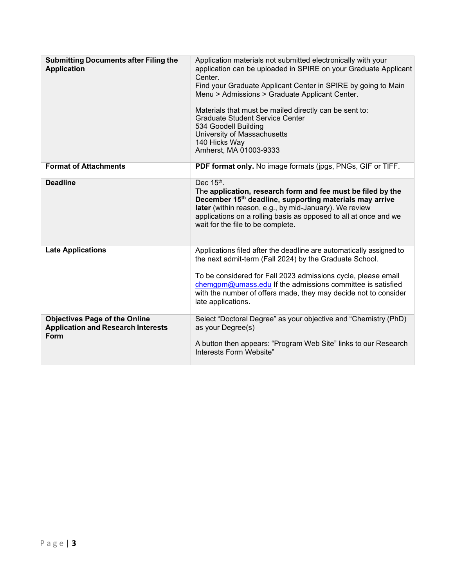| <b>Submitting Documents after Filing the</b><br><b>Application</b>                        | Application materials not submitted electronically with your<br>application can be uploaded in SPIRE on your Graduate Applicant<br>Center.<br>Find your Graduate Applicant Center in SPIRE by going to Main<br>Menu > Admissions > Graduate Applicant Center.<br>Materials that must be mailed directly can be sent to:<br><b>Graduate Student Service Center</b><br>534 Goodell Building<br>University of Massachusetts<br>140 Hicks Way<br>Amherst, MA 01003-9333 |
|-------------------------------------------------------------------------------------------|---------------------------------------------------------------------------------------------------------------------------------------------------------------------------------------------------------------------------------------------------------------------------------------------------------------------------------------------------------------------------------------------------------------------------------------------------------------------|
| <b>Format of Attachments</b>                                                              | PDF format only. No image formats (jpgs, PNGs, GIF or TIFF.                                                                                                                                                                                                                                                                                                                                                                                                         |
| <b>Deadline</b>                                                                           | Dec $15th$ .<br>The application, research form and fee must be filed by the<br>December 15 <sup>th</sup> deadline, supporting materials may arrive<br>later (within reason, e.g., by mid-January). We review<br>applications on a rolling basis as opposed to all at once and we<br>wait for the file to be complete.                                                                                                                                               |
| <b>Late Applications</b>                                                                  | Applications filed after the deadline are automatically assigned to<br>the next admit-term (Fall 2024) by the Graduate School.<br>To be considered for Fall 2023 admissions cycle, please email<br>chemgpm@umass.edu If the admissions committee is satisfied<br>with the number of offers made, they may decide not to consider<br>late applications.                                                                                                              |
| <b>Objectives Page of the Online</b><br><b>Application and Research Interests</b><br>Form | Select "Doctoral Degree" as your objective and "Chemistry (PhD)<br>as your Degree(s)<br>A button then appears: "Program Web Site" links to our Research<br>Interests Form Website"                                                                                                                                                                                                                                                                                  |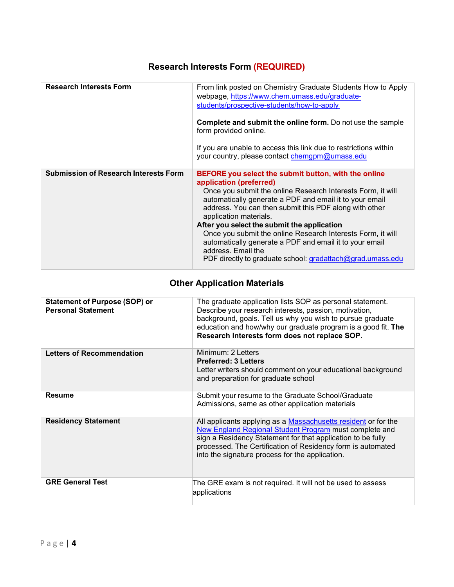## **Research Interests Form (REQUIRED)**

| <b>Research Interests Form</b>               | From link posted on Chemistry Graduate Students How to Apply<br>webpage, https://www.chem.umass.edu/graduate-<br>students/prospective-students/how-to-apply<br><b>Complete and submit the online form.</b> Do not use the sample<br>form provided online.                                                                                                                                                                                                                                                                                                  |
|----------------------------------------------|------------------------------------------------------------------------------------------------------------------------------------------------------------------------------------------------------------------------------------------------------------------------------------------------------------------------------------------------------------------------------------------------------------------------------------------------------------------------------------------------------------------------------------------------------------|
|                                              | If you are unable to access this link due to restrictions within<br>your country, please contact chemgpm@umass.edu                                                                                                                                                                                                                                                                                                                                                                                                                                         |
| <b>Submission of Research Interests Form</b> | BEFORE you select the submit button, with the online<br>application (preferred)<br>Once you submit the online Research Interests Form, it will<br>automatically generate a PDF and email it to your email<br>address. You can then submit this PDF along with other<br>application materials.<br>After you select the submit the application<br>Once you submit the online Research Interests Form, it will<br>automatically generate a PDF and email it to your email<br>address. Email the<br>PDF directly to graduate school: gradattach@grad.umass.edu |

# **Other Application Materials**

| <b>Statement of Purpose (SOP) or</b><br><b>Personal Statement</b> | The graduate application lists SOP as personal statement.<br>Describe your research interests, passion, motivation,<br>background, goals. Tell us why you wish to pursue graduate<br>education and how/why our graduate program is a good fit. The<br>Research Interests form does not replace SOP.       |
|-------------------------------------------------------------------|-----------------------------------------------------------------------------------------------------------------------------------------------------------------------------------------------------------------------------------------------------------------------------------------------------------|
| <b>Letters of Recommendation</b>                                  | Minimum: $21$ etters<br><b>Preferred: 3 Letters</b><br>Letter writers should comment on your educational background<br>and preparation for graduate school                                                                                                                                                |
| <b>Resume</b>                                                     | Submit your resume to the Graduate School/Graduate<br>Admissions, same as other application materials                                                                                                                                                                                                     |
| <b>Residency Statement</b>                                        | All applicants applying as a Massachusetts resident or for the<br>New England Regional Student Program must complete and<br>sign a Residency Statement for that application to be fully<br>processed. The Certification of Residency form is automated<br>into the signature process for the application. |
| <b>GRE General Test</b>                                           | The GRE exam is not required. It will not be used to assess<br>applications                                                                                                                                                                                                                               |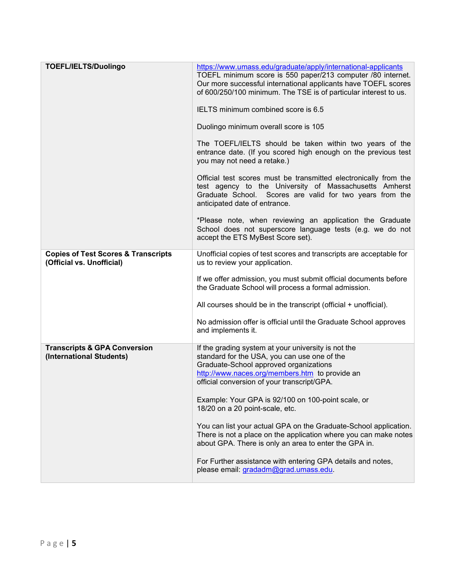| <b>TOEFL/IELTS/Duolingo</b>                                                 | https://www.umass.edu/graduate/apply/international-applicants<br>TOEFL minimum score is 550 paper/213 computer /80 internet.<br>Our more successful international applicants have TOEFL scores<br>of 600/250/100 minimum. The TSE is of particular interest to us. |
|-----------------------------------------------------------------------------|--------------------------------------------------------------------------------------------------------------------------------------------------------------------------------------------------------------------------------------------------------------------|
|                                                                             | IELTS minimum combined score is 6.5                                                                                                                                                                                                                                |
|                                                                             | Duolingo minimum overall score is 105                                                                                                                                                                                                                              |
|                                                                             | The TOEFL/IELTS should be taken within two years of the<br>entrance date. (If you scored high enough on the previous test<br>you may not need a retake.)                                                                                                           |
|                                                                             | Official test scores must be transmitted electronically from the<br>test agency to the University of Massachusetts Amherst<br>Graduate School. Scores are valid for two years from the<br>anticipated date of entrance.                                            |
|                                                                             | *Please note, when reviewing an application the Graduate<br>School does not superscore language tests (e.g. we do not<br>accept the ETS MyBest Score set).                                                                                                         |
| <b>Copies of Test Scores &amp; Transcripts</b><br>(Official vs. Unofficial) | Unofficial copies of test scores and transcripts are acceptable for<br>us to review your application.                                                                                                                                                              |
|                                                                             | If we offer admission, you must submit official documents before<br>the Graduate School will process a formal admission.                                                                                                                                           |
|                                                                             | All courses should be in the transcript (official + unofficial).                                                                                                                                                                                                   |
|                                                                             | No admission offer is official until the Graduate School approves<br>and implements it.                                                                                                                                                                            |
| <b>Transcripts &amp; GPA Conversion</b><br>(International Students)         | If the grading system at your university is not the<br>standard for the USA, you can use one of the<br>Graduate-School approved organizations<br>http://www.naces.org/members.htm to provide an<br>official conversion of your transcript/GPA.                     |
|                                                                             | Example: Your GPA is 92/100 on 100-point scale, or<br>18/20 on a 20 point-scale, etc.                                                                                                                                                                              |
|                                                                             | You can list your actual GPA on the Graduate-School application.<br>There is not a place on the application where you can make notes<br>about GPA. There is only an area to enter the GPA in.                                                                      |
|                                                                             | For Further assistance with entering GPA details and notes,<br>please email: gradadm@grad.umass.edu.                                                                                                                                                               |